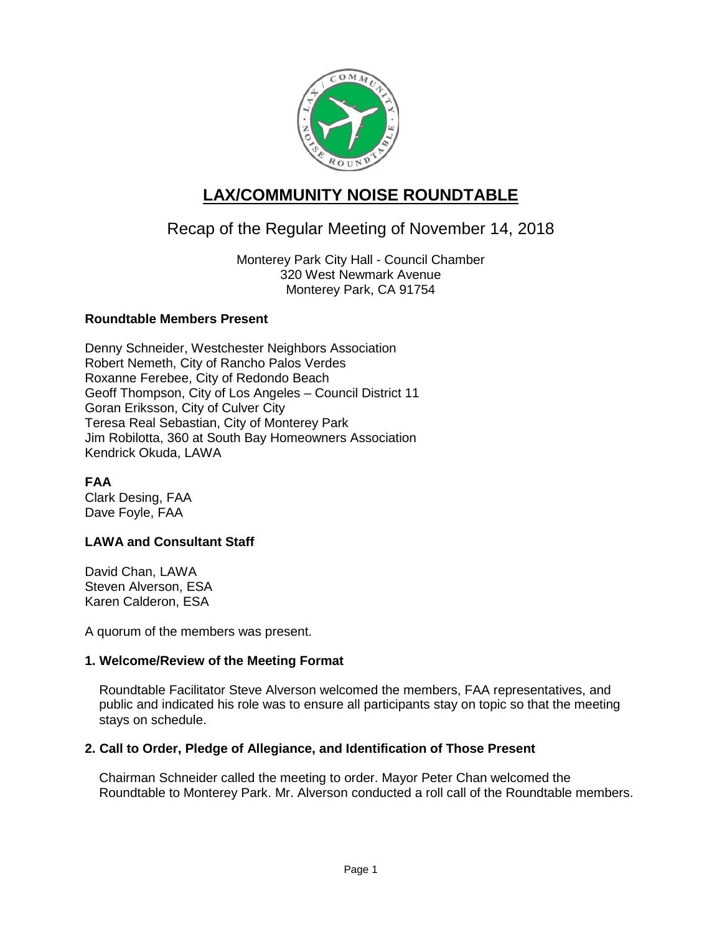

# **LAX/COMMUNITY NOISE ROUNDTABLE**

# Recap of the Regular Meeting of November 14, 2018

Monterey Park City Hall - Council Chamber 320 West Newmark Avenue Monterey Park, CA 91754

## **Roundtable Members Present**

Denny Schneider, Westchester Neighbors Association Robert Nemeth, City of Rancho Palos Verdes Roxanne Ferebee, City of Redondo Beach Geoff Thompson, City of Los Angeles – Council District 11 Goran Eriksson, City of Culver City Teresa Real Sebastian, City of Monterey Park Jim Robilotta, 360 at South Bay Homeowners Association Kendrick Okuda, LAWA

**FAA** Clark Desing, FAA Dave Foyle, FAA

# **LAWA and Consultant Staff**

David Chan, LAWA Steven Alverson, ESA Karen Calderon, ESA

A quorum of the members was present.

# **1. Welcome/Review of the Meeting Format**

Roundtable Facilitator Steve Alverson welcomed the members, FAA representatives, and public and indicated his role was to ensure all participants stay on topic so that the meeting stays on schedule.

## **2. Call to Order, Pledge of Allegiance, and Identification of Those Present**

Chairman Schneider called the meeting to order. Mayor Peter Chan welcomed the Roundtable to Monterey Park. Mr. Alverson conducted a roll call of the Roundtable members.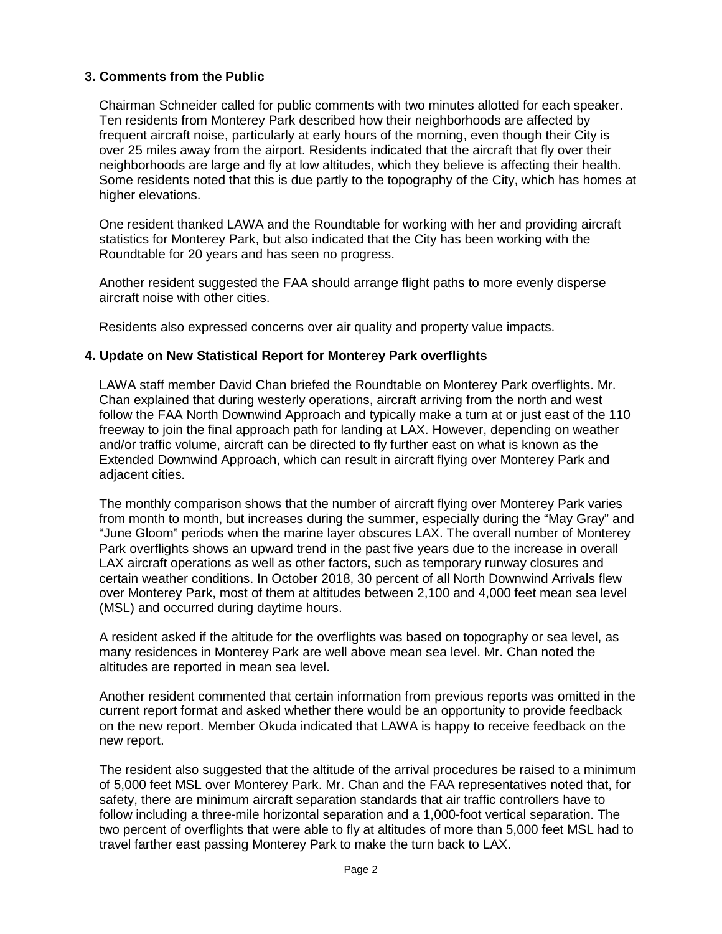## **3. Comments from the Public**

Chairman Schneider called for public comments with two minutes allotted for each speaker. Ten residents from Monterey Park described how their neighborhoods are affected by frequent aircraft noise, particularly at early hours of the morning, even though their City is over 25 miles away from the airport. Residents indicated that the aircraft that fly over their neighborhoods are large and fly at low altitudes, which they believe is affecting their health. Some residents noted that this is due partly to the topography of the City, which has homes at higher elevations.

One resident thanked LAWA and the Roundtable for working with her and providing aircraft statistics for Monterey Park, but also indicated that the City has been working with the Roundtable for 20 years and has seen no progress.

Another resident suggested the FAA should arrange flight paths to more evenly disperse aircraft noise with other cities.

Residents also expressed concerns over air quality and property value impacts.

## **4. Update on New Statistical Report for Monterey Park overflights**

LAWA staff member David Chan briefed the Roundtable on Monterey Park overflights. Mr. Chan explained that during westerly operations, aircraft arriving from the north and west follow the FAA North Downwind Approach and typically make a turn at or just east of the 110 freeway to join the final approach path for landing at LAX. However, depending on weather and/or traffic volume, aircraft can be directed to fly further east on what is known as the Extended Downwind Approach, which can result in aircraft flying over Monterey Park and adjacent cities.

The monthly comparison shows that the number of aircraft flying over Monterey Park varies from month to month, but increases during the summer, especially during the "May Gray" and "June Gloom" periods when the marine layer obscures LAX. The overall number of Monterey Park overflights shows an upward trend in the past five years due to the increase in overall LAX aircraft operations as well as other factors, such as temporary runway closures and certain weather conditions. In October 2018, 30 percent of all North Downwind Arrivals flew over Monterey Park, most of them at altitudes between 2,100 and 4,000 feet mean sea level (MSL) and occurred during daytime hours.

A resident asked if the altitude for the overflights was based on topography or sea level, as many residences in Monterey Park are well above mean sea level. Mr. Chan noted the altitudes are reported in mean sea level.

Another resident commented that certain information from previous reports was omitted in the current report format and asked whether there would be an opportunity to provide feedback on the new report. Member Okuda indicated that LAWA is happy to receive feedback on the new report.

The resident also suggested that the altitude of the arrival procedures be raised to a minimum of 5,000 feet MSL over Monterey Park. Mr. Chan and the FAA representatives noted that, for safety, there are minimum aircraft separation standards that air traffic controllers have to follow including a three-mile horizontal separation and a 1,000-foot vertical separation. The two percent of overflights that were able to fly at altitudes of more than 5,000 feet MSL had to travel farther east passing Monterey Park to make the turn back to LAX.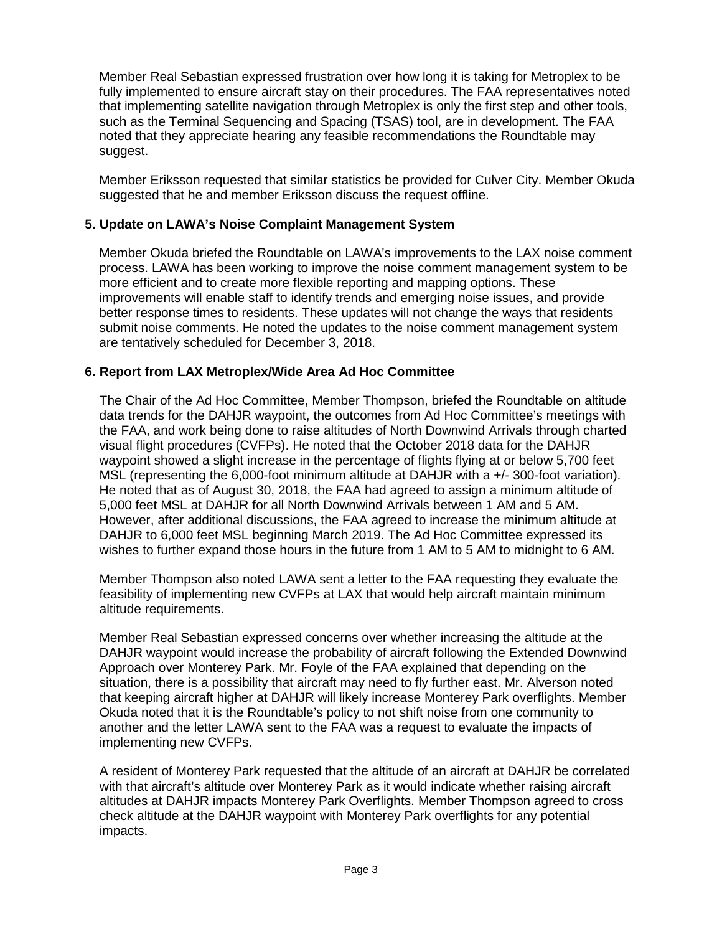Member Real Sebastian expressed frustration over how long it is taking for Metroplex to be fully implemented to ensure aircraft stay on their procedures. The FAA representatives noted that implementing satellite navigation through Metroplex is only the first step and other tools, such as the Terminal Sequencing and Spacing (TSAS) tool, are in development. The FAA noted that they appreciate hearing any feasible recommendations the Roundtable may suggest.

Member Eriksson requested that similar statistics be provided for Culver City. Member Okuda suggested that he and member Eriksson discuss the request offline.

## **5. Update on LAWA's Noise Complaint Management System**

Member Okuda briefed the Roundtable on LAWA's improvements to the LAX noise comment process. LAWA has been working to improve the noise comment management system to be more efficient and to create more flexible reporting and mapping options. These improvements will enable staff to identify trends and emerging noise issues, and provide better response times to residents. These updates will not change the ways that residents submit noise comments. He noted the updates to the noise comment management system are tentatively scheduled for December 3, 2018.

## **6. Report from LAX Metroplex/Wide Area Ad Hoc Committee**

The Chair of the Ad Hoc Committee, Member Thompson, briefed the Roundtable on altitude data trends for the DAHJR waypoint, the outcomes from Ad Hoc Committee's meetings with the FAA, and work being done to raise altitudes of North Downwind Arrivals through charted visual flight procedures (CVFPs). He noted that the October 2018 data for the DAHJR waypoint showed a slight increase in the percentage of flights flying at or below 5,700 feet MSL (representing the 6,000-foot minimum altitude at DAHJR with a +/- 300-foot variation). He noted that as of August 30, 2018, the FAA had agreed to assign a minimum altitude of 5,000 feet MSL at DAHJR for all North Downwind Arrivals between 1 AM and 5 AM. However, after additional discussions, the FAA agreed to increase the minimum altitude at DAHJR to 6,000 feet MSL beginning March 2019. The Ad Hoc Committee expressed its wishes to further expand those hours in the future from 1 AM to 5 AM to midnight to 6 AM.

Member Thompson also noted LAWA sent a letter to the FAA requesting they evaluate the feasibility of implementing new CVFPs at LAX that would help aircraft maintain minimum altitude requirements.

Member Real Sebastian expressed concerns over whether increasing the altitude at the DAHJR waypoint would increase the probability of aircraft following the Extended Downwind Approach over Monterey Park. Mr. Foyle of the FAA explained that depending on the situation, there is a possibility that aircraft may need to fly further east. Mr. Alverson noted that keeping aircraft higher at DAHJR will likely increase Monterey Park overflights. Member Okuda noted that it is the Roundtable's policy to not shift noise from one community to another and the letter LAWA sent to the FAA was a request to evaluate the impacts of implementing new CVFPs.

A resident of Monterey Park requested that the altitude of an aircraft at DAHJR be correlated with that aircraft's altitude over Monterey Park as it would indicate whether raising aircraft altitudes at DAHJR impacts Monterey Park Overflights. Member Thompson agreed to cross check altitude at the DAHJR waypoint with Monterey Park overflights for any potential impacts.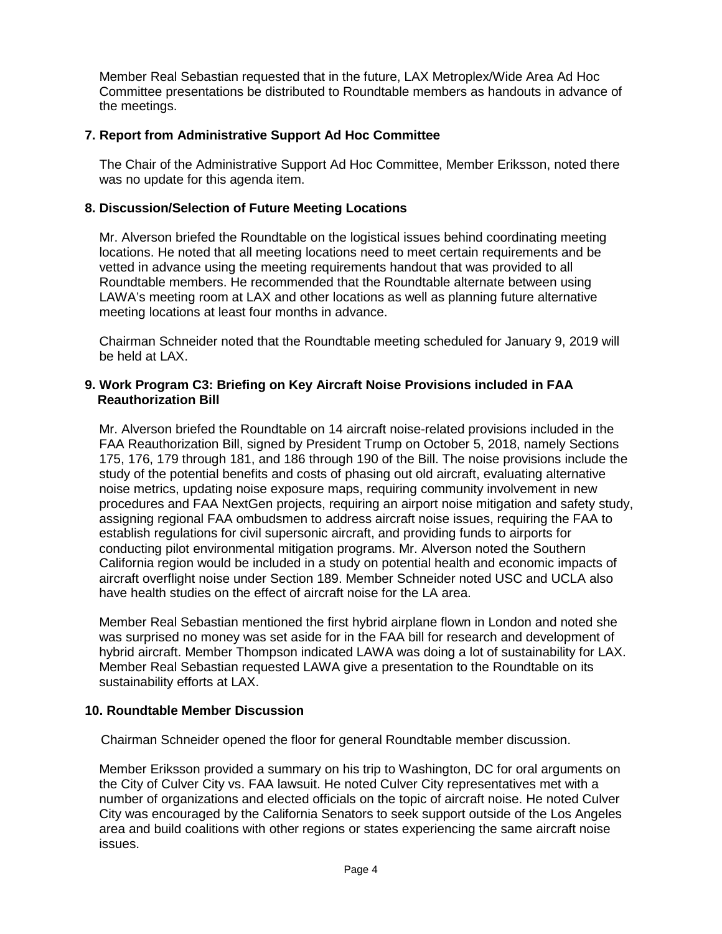Member Real Sebastian requested that in the future, LAX Metroplex/Wide Area Ad Hoc Committee presentations be distributed to Roundtable members as handouts in advance of the meetings.

## **7. Report from Administrative Support Ad Hoc Committee**

The Chair of the Administrative Support Ad Hoc Committee, Member Eriksson, noted there was no update for this agenda item.

## **8. Discussion/Selection of Future Meeting Locations**

Mr. Alverson briefed the Roundtable on the logistical issues behind coordinating meeting locations. He noted that all meeting locations need to meet certain requirements and be vetted in advance using the meeting requirements handout that was provided to all Roundtable members. He recommended that the Roundtable alternate between using LAWA's meeting room at LAX and other locations as well as planning future alternative meeting locations at least four months in advance.

Chairman Schneider noted that the Roundtable meeting scheduled for January 9, 2019 will be held at LAX.

## **9. Work Program C3: Briefing on Key Aircraft Noise Provisions included in FAA Reauthorization Bill**

Mr. Alverson briefed the Roundtable on 14 aircraft noise-related provisions included in the FAA Reauthorization Bill, signed by President Trump on October 5, 2018, namely Sections 175, 176, 179 through 181, and 186 through 190 of the Bill. The noise provisions include the study of the potential benefits and costs of phasing out old aircraft, evaluating alternative noise metrics, updating noise exposure maps, requiring community involvement in new procedures and FAA NextGen projects, requiring an airport noise mitigation and safety study, assigning regional FAA ombudsmen to address aircraft noise issues, requiring the FAA to establish regulations for civil supersonic aircraft, and providing funds to airports for conducting pilot environmental mitigation programs. Mr. Alverson noted the Southern California region would be included in a study on potential health and economic impacts of aircraft overflight noise under Section 189. Member Schneider noted USC and UCLA also have health studies on the effect of aircraft noise for the LA area.

Member Real Sebastian mentioned the first hybrid airplane flown in London and noted she was surprised no money was set aside for in the FAA bill for research and development of hybrid aircraft. Member Thompson indicated LAWA was doing a lot of sustainability for LAX. Member Real Sebastian requested LAWA give a presentation to the Roundtable on its sustainability efforts at LAX.

## **10. Roundtable Member Discussion**

Chairman Schneider opened the floor for general Roundtable member discussion.

Member Eriksson provided a summary on his trip to Washington, DC for oral arguments on the City of Culver City vs. FAA lawsuit. He noted Culver City representatives met with a number of organizations and elected officials on the topic of aircraft noise. He noted Culver City was encouraged by the California Senators to seek support outside of the Los Angeles area and build coalitions with other regions or states experiencing the same aircraft noise issues.